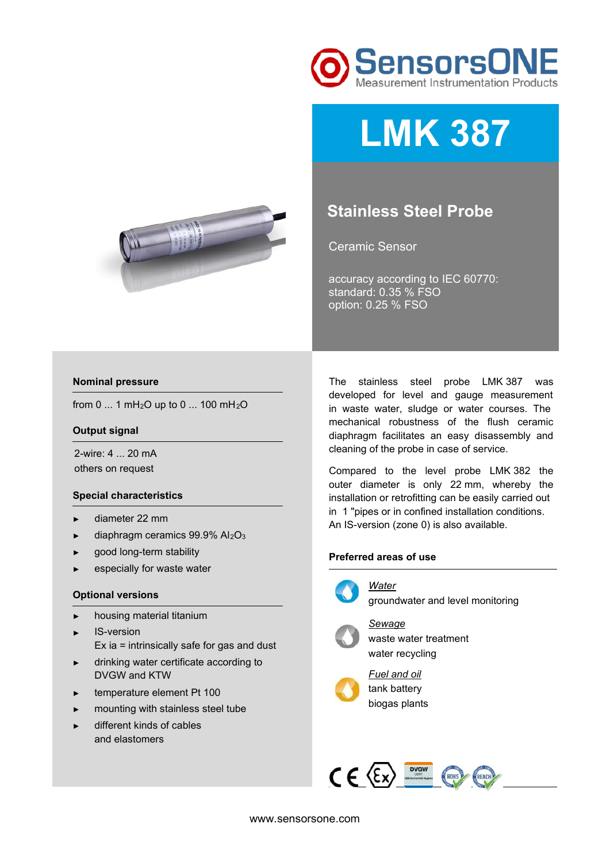

# **LMK 387**



# **Stainless Steel Probe**

Ceramic Sensor

accuracy according to IEC 60770: standard: 0.35 % FSO option: 0.25 % FSO

### **Nominal pressure**

from 0 ... 1 mH<sub>2</sub>O up to 0 ... 100 mH<sub>2</sub>O

#### **Output signal**

2-wire: 4 ... 20 mA others on request

#### **Special characteristics**

- ► diameter 22 mm
- $\blacktriangleright$  diaphragm ceramics 99.9% Al<sub>2</sub>O<sub>3</sub>
- good long-term stability
- especially for waste water

#### **Optional versions**

- ► housing material titanium
- ► IS-version
	- Ex ia = intrinsically safe for gas and dust
- ► drinking water certificate according to DVGW and KTW
- ► temperature element Pt 100
- ► mounting with stainless steel tube
- different kinds of cables and elastomers

The stainless steel probe LMK 387 was developed for level and gauge measurement in waste water, sludge or water courses. The mechanical robustness of the flush ceramic diaphragm facilitates an easy disassembly and cleaning of the probe in case of service.

Compared to the level probe LMK 382 the outer diameter is only 22 mm, whereby the installation or retrofitting can be easily carried out in 1 "pipes or in confined installation conditions. An IS-version (zone 0) is also available.

## **Preferred areas of use**



groundwater and level monitoring



*Sewage*  waste water treatment water recycling



*Fuel and oil*  tank battery biogas plants

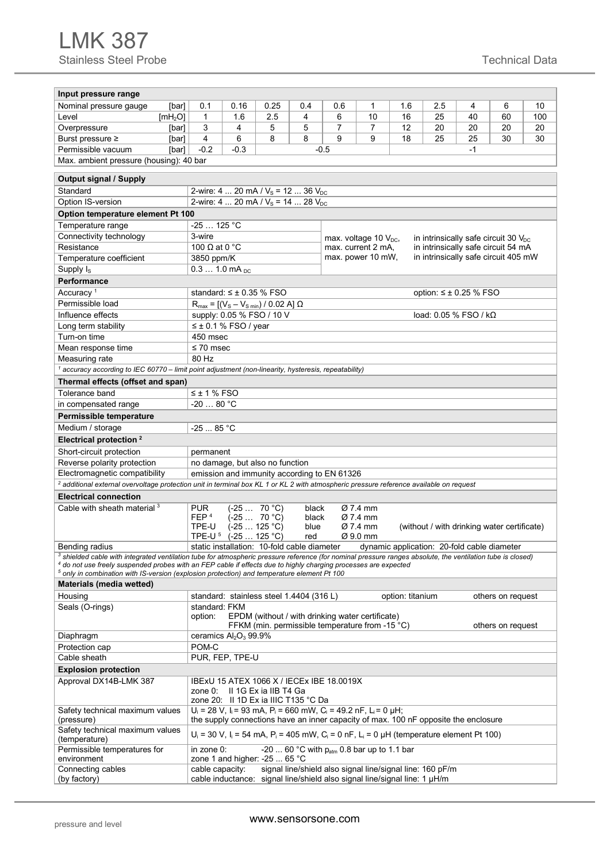| Input pressure range                                                                                                                                                                                                                                                                         |                                                                                                                                                                            |                                                                                       |                                                                                |                |                                                                                                      |                                  |                                             |           |                                 |                   |           |
|----------------------------------------------------------------------------------------------------------------------------------------------------------------------------------------------------------------------------------------------------------------------------------------------|----------------------------------------------------------------------------------------------------------------------------------------------------------------------------|---------------------------------------------------------------------------------------|--------------------------------------------------------------------------------|----------------|------------------------------------------------------------------------------------------------------|----------------------------------|---------------------------------------------|-----------|---------------------------------|-------------------|-----------|
|                                                                                                                                                                                                                                                                                              |                                                                                                                                                                            |                                                                                       |                                                                                |                |                                                                                                      |                                  |                                             |           |                                 |                   |           |
| Nominal pressure gauge<br>[bar]<br>Level                                                                                                                                                                                                                                                     | 0.1<br>$\mathbf{1}$                                                                                                                                                        | 0.16<br>1.6                                                                           | 0.25<br>2.5                                                                    | 0.4<br>4       | 0.6                                                                                                  | 1<br>10                          | 1.6                                         | 2.5<br>25 | 4<br>40                         | 6<br>60           | 10<br>100 |
| [mH <sub>2</sub> O]<br>Overpressure                                                                                                                                                                                                                                                          | 3                                                                                                                                                                          | 4                                                                                     | 5                                                                              | 5              | 6<br>7                                                                                               | $\overline{7}$                   | 16<br>12                                    | 20        | 20                              | 20                | 20        |
| [bar]                                                                                                                                                                                                                                                                                        | $\overline{4}$                                                                                                                                                             | 6                                                                                     | 8                                                                              | 8              | 9                                                                                                    | 9                                | 18                                          | 25        | 25                              | 30                |           |
| Burst pressure ≥<br>[bar]                                                                                                                                                                                                                                                                    |                                                                                                                                                                            |                                                                                       |                                                                                |                |                                                                                                      |                                  |                                             |           |                                 |                   | 30        |
| $-0.2$<br>$-0.3$<br>Permissible vacuum<br>$-1$<br>[bar]<br>$-0.5$                                                                                                                                                                                                                            |                                                                                                                                                                            |                                                                                       |                                                                                |                |                                                                                                      |                                  |                                             |           |                                 |                   |           |
| Max. ambient pressure (housing): 40 bar                                                                                                                                                                                                                                                      |                                                                                                                                                                            |                                                                                       |                                                                                |                |                                                                                                      |                                  |                                             |           |                                 |                   |           |
| <b>Output signal / Supply</b>                                                                                                                                                                                                                                                                |                                                                                                                                                                            |                                                                                       |                                                                                |                |                                                                                                      |                                  |                                             |           |                                 |                   |           |
| Standard                                                                                                                                                                                                                                                                                     |                                                                                                                                                                            |                                                                                       | 2-wire: 4  20 mA / $V_s$ = 12  36 $V_{DC}$                                     |                |                                                                                                      |                                  |                                             |           |                                 |                   |           |
| Option IS-version                                                                                                                                                                                                                                                                            |                                                                                                                                                                            |                                                                                       | 2-wire: 4  20 mA / $V_s$ = 14  28 $V_{DC}$                                     |                |                                                                                                      |                                  |                                             |           |                                 |                   |           |
| Option temperature element Pt 100                                                                                                                                                                                                                                                            |                                                                                                                                                                            |                                                                                       |                                                                                |                |                                                                                                      |                                  |                                             |           |                                 |                   |           |
| Temperature range                                                                                                                                                                                                                                                                            | $-25$ 125 °C                                                                                                                                                               |                                                                                       |                                                                                |                |                                                                                                      |                                  |                                             |           |                                 |                   |           |
| Connectivity technology                                                                                                                                                                                                                                                                      | 3-wire                                                                                                                                                                     | in intrinsically safe circuit 30 $V_{\text{DC}}$<br>max. voltage 10 $V_{\text{DC}}$ , |                                                                                |                |                                                                                                      |                                  |                                             |           |                                 |                   |           |
| Resistance                                                                                                                                                                                                                                                                                   |                                                                                                                                                                            | 100 $\Omega$ at 0 °C<br>in intrinsically safe circuit 54 mA<br>max. current 2 mA,     |                                                                                |                |                                                                                                      |                                  |                                             |           |                                 |                   |           |
| Temperature coefficient                                                                                                                                                                                                                                                                      |                                                                                                                                                                            | in intrinsically safe circuit 405 mW<br>max. power 10 mW,<br>3850 ppm/K               |                                                                                |                |                                                                                                      |                                  |                                             |           |                                 |                   |           |
| Supply I <sub>s</sub>                                                                                                                                                                                                                                                                        | $0.31.0$ mA $_{DC}$                                                                                                                                                        |                                                                                       |                                                                                |                |                                                                                                      |                                  |                                             |           |                                 |                   |           |
| <b>Performance</b>                                                                                                                                                                                                                                                                           |                                                                                                                                                                            |                                                                                       |                                                                                |                |                                                                                                      |                                  |                                             |           |                                 |                   |           |
| Accuracy <sup>1</sup>                                                                                                                                                                                                                                                                        |                                                                                                                                                                            |                                                                                       | standard: ≤ ± 0.35 % FSO                                                       |                |                                                                                                      |                                  |                                             |           | option: $\leq \pm 0.25$ % FSO   |                   |           |
| Permissible load                                                                                                                                                                                                                                                                             |                                                                                                                                                                            |                                                                                       | $R_{\text{max}} = [(V_{\text{S}} - V_{\text{S min}}) / 0.02 \text{ A}] \Omega$ |                |                                                                                                      |                                  |                                             |           |                                 |                   |           |
| Influence effects                                                                                                                                                                                                                                                                            |                                                                                                                                                                            |                                                                                       | supply: 0.05 % FSO / 10 V                                                      |                |                                                                                                      |                                  |                                             |           | load: $0.05\%$ FSO / k $\Omega$ |                   |           |
| Long term stability                                                                                                                                                                                                                                                                          | $\leq \pm 0.1$ % FSO / year                                                                                                                                                |                                                                                       |                                                                                |                |                                                                                                      |                                  |                                             |           |                                 |                   |           |
| Turn-on time                                                                                                                                                                                                                                                                                 | 450 msec                                                                                                                                                                   |                                                                                       |                                                                                |                |                                                                                                      |                                  |                                             |           |                                 |                   |           |
| Mean response time                                                                                                                                                                                                                                                                           | $\leq 70$ msec                                                                                                                                                             |                                                                                       |                                                                                |                |                                                                                                      |                                  |                                             |           |                                 |                   |           |
| Measuring rate                                                                                                                                                                                                                                                                               | 80 Hz                                                                                                                                                                      |                                                                                       |                                                                                |                |                                                                                                      |                                  |                                             |           |                                 |                   |           |
| $1$ accuracy according to IEC 60770 – limit point adjustment (non-linearity, hysteresis, repeatability)                                                                                                                                                                                      |                                                                                                                                                                            |                                                                                       |                                                                                |                |                                                                                                      |                                  |                                             |           |                                 |                   |           |
| Thermal effects (offset and span)                                                                                                                                                                                                                                                            |                                                                                                                                                                            |                                                                                       |                                                                                |                |                                                                                                      |                                  |                                             |           |                                 |                   |           |
| Tolerance band                                                                                                                                                                                                                                                                               | $\leq$ ± 1 % FSO                                                                                                                                                           |                                                                                       |                                                                                |                |                                                                                                      |                                  |                                             |           |                                 |                   |           |
| in compensated range                                                                                                                                                                                                                                                                         | $-2080 °C$                                                                                                                                                                 |                                                                                       |                                                                                |                |                                                                                                      |                                  |                                             |           |                                 |                   |           |
| Permissible temperature                                                                                                                                                                                                                                                                      |                                                                                                                                                                            |                                                                                       |                                                                                |                |                                                                                                      |                                  |                                             |           |                                 |                   |           |
| Medium / storage                                                                                                                                                                                                                                                                             | -25  85 °C                                                                                                                                                                 |                                                                                       |                                                                                |                |                                                                                                      |                                  |                                             |           |                                 |                   |           |
| Electrical protection <sup>2</sup>                                                                                                                                                                                                                                                           |                                                                                                                                                                            |                                                                                       |                                                                                |                |                                                                                                      |                                  |                                             |           |                                 |                   |           |
| Short-circuit protection                                                                                                                                                                                                                                                                     | permanent                                                                                                                                                                  |                                                                                       |                                                                                |                |                                                                                                      |                                  |                                             |           |                                 |                   |           |
| Reverse polarity protection                                                                                                                                                                                                                                                                  |                                                                                                                                                                            |                                                                                       | no damage, but also no function                                                |                |                                                                                                      |                                  |                                             |           |                                 |                   |           |
| Electromagnetic compatibility                                                                                                                                                                                                                                                                |                                                                                                                                                                            |                                                                                       |                                                                                |                | emission and immunity according to EN 61326                                                          |                                  |                                             |           |                                 |                   |           |
| <sup>2</sup> additional external overvoltage protection unit in terminal box KL 1 or KL 2 with atmospheric pressure reference available on request                                                                                                                                           |                                                                                                                                                                            |                                                                                       |                                                                                |                |                                                                                                      |                                  |                                             |           |                                 |                   |           |
| <b>Electrical connection</b>                                                                                                                                                                                                                                                                 |                                                                                                                                                                            |                                                                                       |                                                                                |                |                                                                                                      |                                  |                                             |           |                                 |                   |           |
| Cable with sheath material <sup>3</sup>                                                                                                                                                                                                                                                      | PUR.<br>FEP <sup>4</sup>                                                                                                                                                   |                                                                                       | $(-25 70 °C)$<br>$(-25 70 °C)$                                                 | black<br>black |                                                                                                      | Ø 7.4 mm<br>$\varnothing$ 7.4 mm |                                             |           |                                 |                   |           |
|                                                                                                                                                                                                                                                                                              | TPE-U                                                                                                                                                                      |                                                                                       | $(-25 125 °C)$                                                                 |                | Ø 7.4 mm<br>(without / with drinking water certificate)<br>blue                                      |                                  |                                             |           |                                 |                   |           |
|                                                                                                                                                                                                                                                                                              | TPE-U <sup>5</sup>                                                                                                                                                         | $(-25 125 °C)$                                                                        |                                                                                | red            |                                                                                                      | Ø 9.0 mm                         |                                             |           |                                 |                   |           |
| Bending radius                                                                                                                                                                                                                                                                               |                                                                                                                                                                            |                                                                                       | static installation: 10-fold cable diameter                                    |                |                                                                                                      |                                  | dynamic application: 20-fold cable diameter |           |                                 |                   |           |
| <sup>3</sup> shielded cable with integrated ventilation tube for atmospheric pressure reference (for nominal pressure ranges absolute, the ventilation tube is closed)<br>$^4$ do not use freely suspended probes with an FEP cable if effects due to highly charging processes are expected |                                                                                                                                                                            |                                                                                       |                                                                                |                |                                                                                                      |                                  |                                             |           |                                 |                   |           |
| <sup>5</sup> only in combination with IS-version (explosion protection) and temperature element Pt 100                                                                                                                                                                                       |                                                                                                                                                                            |                                                                                       |                                                                                |                |                                                                                                      |                                  |                                             |           |                                 |                   |           |
| Materials (media wetted)                                                                                                                                                                                                                                                                     |                                                                                                                                                                            |                                                                                       |                                                                                |                |                                                                                                      |                                  |                                             |           |                                 |                   |           |
| Housing                                                                                                                                                                                                                                                                                      |                                                                                                                                                                            |                                                                                       | standard: stainless steel 1.4404 (316 L)                                       |                |                                                                                                      |                                  | option: titanium                            |           |                                 | others on request |           |
| Seals (O-rings)                                                                                                                                                                                                                                                                              | standard: FKM                                                                                                                                                              |                                                                                       |                                                                                |                |                                                                                                      |                                  |                                             |           |                                 |                   |           |
|                                                                                                                                                                                                                                                                                              | option:                                                                                                                                                                    |                                                                                       |                                                                                |                | EPDM (without / with drinking water certificate)                                                     |                                  |                                             |           |                                 |                   |           |
|                                                                                                                                                                                                                                                                                              | ceramics Al <sub>2</sub> O <sub>3</sub> 99.9%                                                                                                                              |                                                                                       |                                                                                |                | FFKM (min. permissible temperature from -15 °C)                                                      |                                  |                                             |           |                                 | others on request |           |
| Diaphragm                                                                                                                                                                                                                                                                                    |                                                                                                                                                                            |                                                                                       |                                                                                |                |                                                                                                      |                                  |                                             |           |                                 |                   |           |
| Protection cap<br>Cable sheath                                                                                                                                                                                                                                                               | POM-C<br>PUR, FEP, TPE-U                                                                                                                                                   |                                                                                       |                                                                                |                |                                                                                                      |                                  |                                             |           |                                 |                   |           |
|                                                                                                                                                                                                                                                                                              |                                                                                                                                                                            |                                                                                       |                                                                                |                |                                                                                                      |                                  |                                             |           |                                 |                   |           |
| <b>Explosion protection</b><br>Approval DX14B-LMK 387                                                                                                                                                                                                                                        |                                                                                                                                                                            |                                                                                       |                                                                                |                |                                                                                                      |                                  |                                             |           |                                 |                   |           |
|                                                                                                                                                                                                                                                                                              |                                                                                                                                                                            |                                                                                       | zone 0: Il 1G Ex ia IIB T4 Ga<br>zone 20: II 1D Ex ia IIIC T135 °C Da          |                | IBExU 15 ATEX 1066 X / IECEx IBE 18.0019X                                                            |                                  |                                             |           |                                 |                   |           |
| Safety technical maximum values<br>(pressure)                                                                                                                                                                                                                                                | $U_i = 28 V$ , $I_i = 93 mA$ , $P_i = 660 mW$ , $C_i = 49.2 nF$ , $L_i = 0 \mu H$ ;<br>the supply connections have an inner capacity of max. 100 nF opposite the enclosure |                                                                                       |                                                                                |                |                                                                                                      |                                  |                                             |           |                                 |                   |           |
| Safety technical maximum values<br>(temperature)                                                                                                                                                                                                                                             |                                                                                                                                                                            |                                                                                       |                                                                                |                | $U_i = 30$ V, $I_i = 54$ mA, $P_i = 405$ mW, $C_i = 0$ nF, $L_i = 0$ µH (temperature element Pt 100) |                                  |                                             |           |                                 |                   |           |
| Permissible temperatures for                                                                                                                                                                                                                                                                 | in zone 0:                                                                                                                                                                 |                                                                                       |                                                                                |                | -20  60 °C with $p_{atm}$ 0.8 bar up to 1.1 bar                                                      |                                  |                                             |           |                                 |                   |           |
| environment                                                                                                                                                                                                                                                                                  |                                                                                                                                                                            |                                                                                       | zone 1 and higher: -25  65 $^{\circ}$ C                                        |                |                                                                                                      |                                  |                                             |           |                                 |                   |           |
| Connecting cables                                                                                                                                                                                                                                                                            | cable capacity:                                                                                                                                                            |                                                                                       |                                                                                |                | signal line/shield also signal line/signal line: 160 pF/m                                            |                                  |                                             |           |                                 |                   |           |
| (by factory)                                                                                                                                                                                                                                                                                 |                                                                                                                                                                            |                                                                                       |                                                                                |                | cable inductance: signal line/shield also signal line/signal line: 1 µH/m                            |                                  |                                             |           |                                 |                   |           |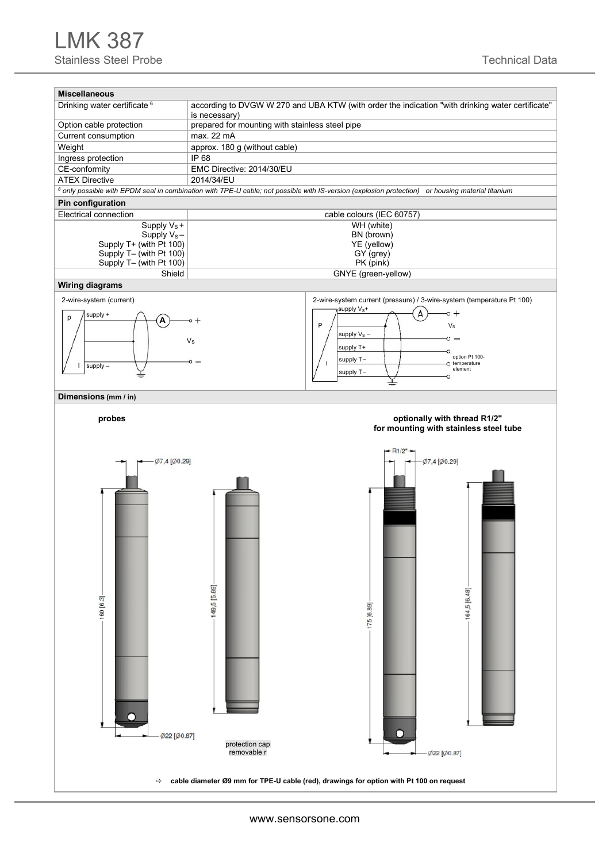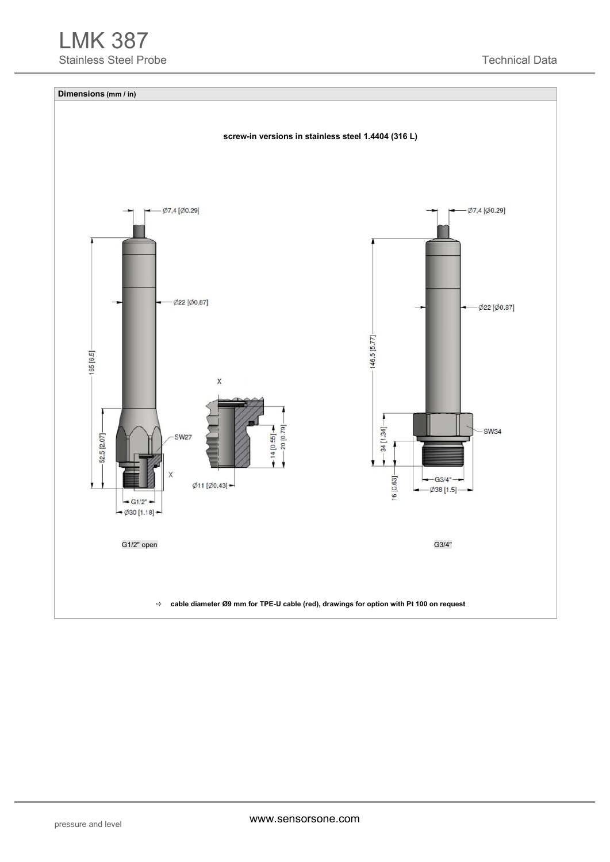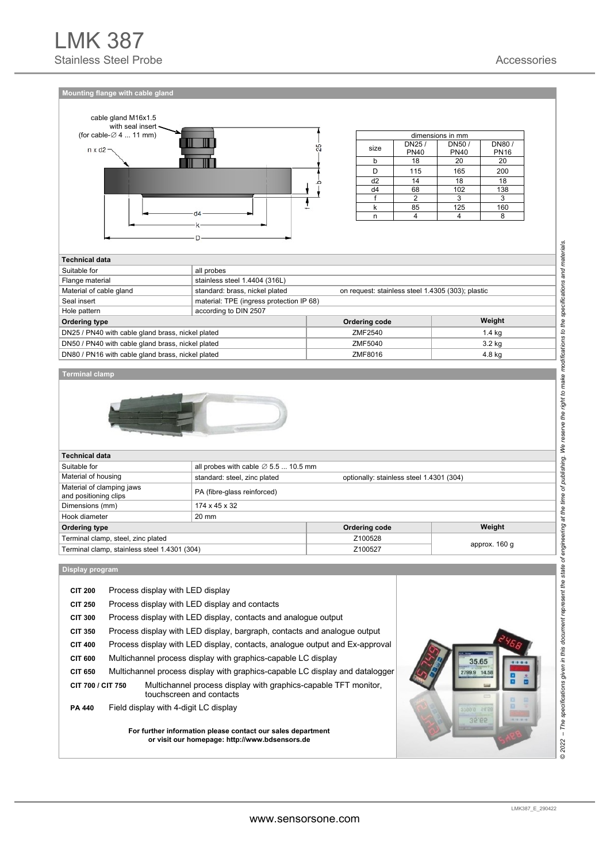**Mounting flange with cable gland** 



| dimensions in mm |             |             |             |  |  |  |  |  |  |
|------------------|-------------|-------------|-------------|--|--|--|--|--|--|
| size             | DN25/       | DN50/       | DN80/       |  |  |  |  |  |  |
|                  | <b>PN40</b> | <b>PN40</b> | <b>PN16</b> |  |  |  |  |  |  |
| h                | 18          | 20          | 20          |  |  |  |  |  |  |
|                  | 115         | 165         | 200         |  |  |  |  |  |  |
| d <sub>2</sub>   | 14          | 18          | 18          |  |  |  |  |  |  |
| d4               | 68          | 102         | 138         |  |  |  |  |  |  |
|                  | 2           |             | 3           |  |  |  |  |  |  |
| k                | 85          | 125         | 160         |  |  |  |  |  |  |
|                  |             |             |             |  |  |  |  |  |  |

| <b>Technical data</b>                             |                                |                                                   |          |  |  |  |  |  |  |
|---------------------------------------------------|--------------------------------|---------------------------------------------------|----------|--|--|--|--|--|--|
| Suitable for                                      | all probes                     |                                                   |          |  |  |  |  |  |  |
| Flange material                                   | stainless steel 1.4404 (316L)  |                                                   |          |  |  |  |  |  |  |
| Material of cable gland                           | standard: brass, nickel plated | on request: stainless steel 1.4305 (303); plastic |          |  |  |  |  |  |  |
| Seal insert                                       |                                | material: TPE (ingress protection IP 68)          |          |  |  |  |  |  |  |
| Hole pattern                                      | according to DIN 2507          |                                                   |          |  |  |  |  |  |  |
| Ordering type                                     |                                | Ordering code                                     | Weight   |  |  |  |  |  |  |
| DN25 / PN40 with cable gland brass, nickel plated |                                | ZMF2540                                           | 1.4 kg   |  |  |  |  |  |  |
| DN50 / PN40 with cable gland brass, nickel plated |                                | ZMF5040                                           | $3.2$ kg |  |  |  |  |  |  |
| DN80 / PN16 with cable gland brass, nickel plated |                                | ZMF8016                                           | 4.8 kg   |  |  |  |  |  |  |
|                                                   |                                |                                                   |          |  |  |  |  |  |  |

#### **Terminal clamp**



| <b>Technical data</b>        |                                              |                                                  |  |  |  |  |  |  |
|------------------------------|----------------------------------------------|--------------------------------------------------|--|--|--|--|--|--|
|                              |                                              |                                                  |  |  |  |  |  |  |
| standard: steel, zinc plated | optionally: stainless steel 1.4301 (304)     |                                                  |  |  |  |  |  |  |
| PA (fibre-glass reinforced)  |                                              |                                                  |  |  |  |  |  |  |
| 174 x 45 x 32                |                                              |                                                  |  |  |  |  |  |  |
| 20 mm                        |                                              |                                                  |  |  |  |  |  |  |
|                              | Ordering code                                | Weight                                           |  |  |  |  |  |  |
|                              | Z100528                                      |                                                  |  |  |  |  |  |  |
|                              | Z100527                                      | approx. 160 g                                    |  |  |  |  |  |  |
|                              | Terminal clamp, stainless steel 1.4301 (304) | all probes with cable $\varnothing$ 5.5  10.5 mm |  |  |  |  |  |  |

**Display program** 

| <b>CIT 200</b>    | Process display with LED display                                                                              |              |
|-------------------|---------------------------------------------------------------------------------------------------------------|--------------|
| <b>CIT 250</b>    | Process display with LED display and contacts                                                                 |              |
| <b>CIT 300</b>    | Process display with LED display, contacts and analogue output                                                |              |
| <b>CIT 350</b>    | Process display with LED display, bargraph, contacts and analogue output                                      |              |
| <b>CIT 400</b>    | Process display with LED display, contacts, analogue output and Ex-approval                                   |              |
| <b>CIT 600</b>    | Multichannel process display with graphics-capable LC display                                                 | 35.65        |
| <b>CIT 650</b>    | Multichannel process display with graphics-capable LC display and datalogger                                  | 14.58        |
| CIT 700 / CIT 750 | Multichannel process display with graphics-capable TFT monitor,<br>touchscreen and contacts                   |              |
| <b>PA 440</b>     | Field display with 4-digit LC display                                                                         | 2799.9 14.58 |
|                   | For further information please contact our sales department<br>or visit our homepage: http://www.bdsensors.de | 35.65        |